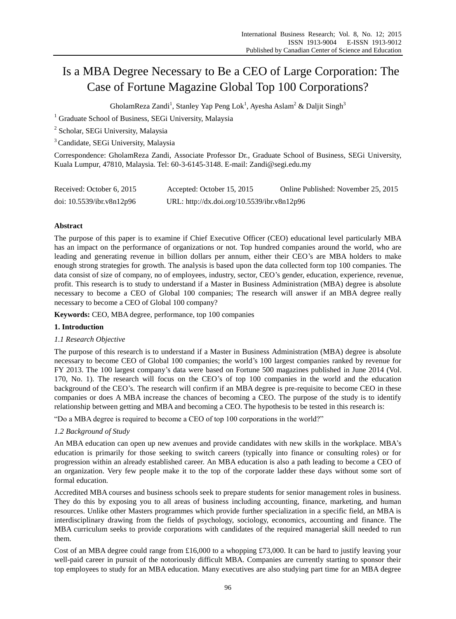# Is a MBA Degree Necessary to Be a CEO of Large Corporation: The Case of Fortune Magazine Global Top 100 Corporations?

GholamReza Zandi<sup>1</sup>, Stanley Yap Peng Lok<sup>1</sup>, Ayesha Aslam<sup>2</sup> & Daljit Singh<sup>3</sup>

<sup>1</sup> Graduate School of Business, SEGi University, Malaysia

<sup>2</sup> Scholar, SEGi University, Malaysia

<sup>3</sup> Candidate, SEGi University, Malaysia

Correspondence: GholamReza Zandi, Associate Professor Dr., Graduate School of Business, SEGi University, Kuala Lumpur, 47810, Malaysia. Tel: 60-3-6145-3148. E-mail: [Zandi@segi.edu.my](mailto:Zandi@segi.edu.my)

| Received: October 6, 2015 | Accepted: October 15, 2015                  | Online Published: November 25, 2015 |
|---------------------------|---------------------------------------------|-------------------------------------|
| doi: 10.5539/ibr.v8n12p96 | URL: http://dx.doi.org/10.5539/ibr.v8n12p96 |                                     |

# **Abstract**

The purpose of this paper is to examine if Chief Executive Officer (CEO) educational level particularly MBA has an impact on the performance of organizations or not. Top hundred companies around the world, who are leading and generating revenue in billion dollars per annum, either their CEO's are MBA holders to make enough strong strategies for growth. The analysis is based upon the data collected form top 100 companies. The data consist of size of company, no of employees, industry, sector, CEO's gender, education, experience, revenue, profit. This research is to study to understand if a Master in Business Administration (MBA) degree is absolute necessary to become a CEO of Global 100 companies; The research will answer if an MBA degree really necessary to become a CEO of Global 100 company?

**Keywords:** CEO, MBA degree, performance, top 100 companies

# **1. Introduction**

# *1.1 Research Objective*

The purpose of this research is to understand if a Master in Business Administration (MBA) degree is absolute necessary to become CEO of Global 100 companies; the world's 100 largest companies ranked by revenue for FY 2013. The 100 largest company's data were based on Fortune 500 magazines published in June 2014 (Vol. 170, No. 1). The research will focus on the CEO's of top 100 companies in the world and the education background of the CEO's. The research will confirm if an MBA degree is pre-requisite to become CEO in these companies or does A MBA increase the chances of becoming a CEO. The purpose of the study is to identify relationship between getting and MBA and becoming a CEO. The hypothesis to be tested in this research is:

"Do a MBA degree is required to become a CEO of top 100 corporations in the world?"

# *1.2 Background of Study*

An MBA education can open up new avenues and provide candidates with new skills in the workplace. MBA's education is primarily for those seeking to switch careers (typically into finance or consulting roles) or for progression within an already established career. An MBA education is also a path leading to become a CEO of an organization. Very few people make it to the top of the corporate ladder these days without some sort of formal education.

Accredited MBA courses and business schools seek to prepare students for senior management roles in business. They do this by exposing you to all areas of business including accounting, finance, marketing, and human resources. Unlike other Masters programmes which provide further specialization in a specific field, an MBA is interdisciplinary drawing from the fields of psychology, sociology, economics, accounting and finance. The MBA curriculum seeks to provide corporations with candidates of the required managerial skill needed to run them.

Cost of an MBA degree could range from £16,000 to a whopping £73,000. It can be hard to justify leaving your well-paid career in pursuit of the notoriously difficult MBA. Companies are currently starting to sponsor their top employees to study for an MBA education. Many executives are also studying part time for an MBA degree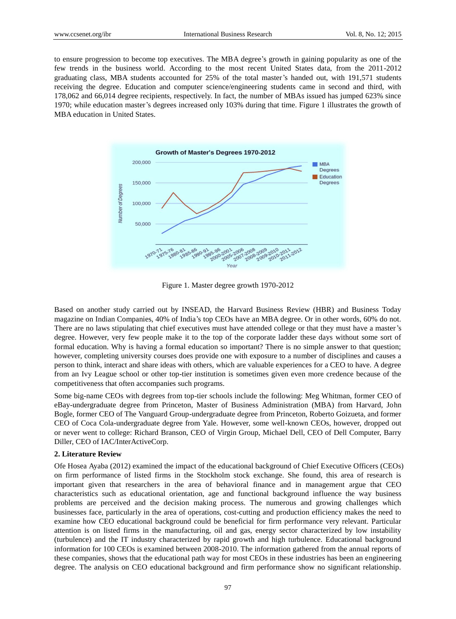to ensure progression to become top executives. The MBA degree's growth in gaining popularity as one of the few trends in the business world. According to the most recent United States data, from the 2011-2012 graduating class, MBA students accounted for 25% of the total master's handed out, with 191,571 students receiving the degree. Education and computer science/engineering students came in second and third, with 178,062 and 66,014 degree recipients, respectively. In fact, the number of MBAs issued has jumped 623% since 1970; while education master's degrees increased only 103% during that time. Figure 1 illustrates the growth of MBA education in United States.



Figure 1. Master degree growth 1970-2012

Based on another study carried out by INSEAD, the Harvard Business Review (HBR) and Business Today magazine on Indian Companies, 40% of India's top CEOs have an MBA degree. Or in other words, 60% do not. There are no laws stipulating that chief executives must have attended college or that they must have a master's degree. However, very few people make it to the top of the corporate ladder these days without some sort of formal education. Why is having a formal education so important? There is no simple answer to that question; however, completing university courses does provide one with exposure to a number of disciplines and causes a person to think, interact and share ideas with others, which are valuable experiences for a CEO to have. A degree from an Ivy League school or other top-tier institution is sometimes given even more credence because of the competitiveness that often accompanies such programs.

Some big-name CEOs with degrees from top-tier schools include the following: Meg Whitman, former CEO of eBay-undergraduate degree from Princeton, Master of Business Administration (MBA) from Harvard, John Bogle, former CEO of The Vanguard Group-undergraduate degree from Princeton, Roberto Goizueta, and former CEO of Coca Cola-undergraduate degree from Yale. However, some well-known CEOs, however, dropped out or never went to college: Richard Branson, CEO of Virgin Group, Michael Dell, CEO of Dell Computer, Barry Diller, CEO of IAC/InterActiveCorp.

## **2. Literature Review**

Ofe Hosea Ayaba (2012) examined the impact of the educational background of Chief Executive Officers (CEOs) on firm performance of listed firms in the Stockholm stock exchange. She found, this area of research is important given that researchers in the area of behavioral finance and in management argue that CEO characteristics such as educational orientation, age and functional background influence the way business problems are perceived and the decision making process. The numerous and growing challenges which businesses face, particularly in the area of operations, cost-cutting and production efficiency makes the need to examine how CEO educational background could be beneficial for firm performance very relevant. Particular attention is on listed firms in the manufacturing, oil and gas, energy sector characterized by low instability (turbulence) and the IT industry characterized by rapid growth and high turbulence. Educational background information for 100 CEOs is examined between 2008-2010. The information gathered from the annual reports of these companies, shows that the educational path way for most CEOs in these industries has been an engineering degree. The analysis on CEO educational background and firm performance show no significant relationship.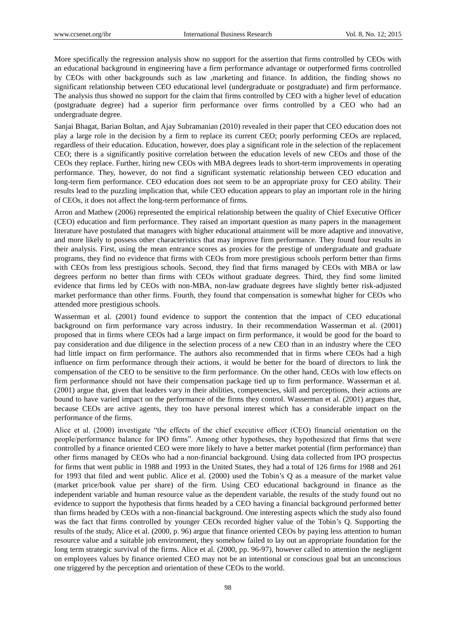More specifically the regression analysis show no support for the assertion that firms controlled by CEOs with an educational background in engineering have a firm performance advantage or outperformed firms controlled by CEOs with other backgrounds such as law ,marketing and finance. In addition, the finding shows no significant relationship between CEO educational level (undergraduate or postgraduate) and firm performance. The analysis thus showed no support for the claim that firms controlled by CEO with a higher level of education (postgraduate degree) had a superior firm performance over firms controlled by a CEO who had an undergraduate degree.

Sanjai Bhagat, Barian Boltan, and Ajay Subramanian (2010) revealed in their paper that CEO education does not play a large role in the decision by a firm to replace its current CEO; poorly performing CEOs are replaced, regardless of their education. Education, however, does play a significant role in the selection of the replacement CEO; there is a significantly positive correlation between the education levels of new CEOs and those of the CEOs they replace. Further, hiring new CEOs with MBA degrees leads to short-term improvements in operating performance. They, however, do not find a significant systematic relationship between CEO education and long-term firm performance. CEO education does not seem to be an appropriate proxy for CEO ability. Their results lead to the puzzling implication that, while CEO education appears to play an important role in the hiring of CEOs, it does not affect the long-term performance of firms.

Arron and Mathew (2006) represented the empirical relationship between the quality of Chief Executive Officer (CEO) education and firm performance. They raised an important question as many papers in the management literature have postulated that managers with higher educational attainment will be more adaptive and innovative, and more likely to possess other characteristics that may improve firm performance. They found four results in their analysis. First, using the mean entrance scores as proxies for the prestige of undergraduate and graduate programs, they find no evidence that firms with CEOs from more prestigious schools perform better than firms with CEOs from less prestigious schools. Second, they find that firms managed by CEOs with MBA or law degrees perform no better than firms with CEOs without graduate degrees. Third, they find some limited evidence that firms led by CEOs with non-MBA, non-law graduate degrees have slightly better risk-adjusted market performance than other firms. Fourth, they found that compensation is somewhat higher for CEOs who attended more prestigious schools.

Wasserman et al. (2001) found evidence to support the contention that the impact of CEO educational background on firm performance vary across industry. In their recommendation Wasserman et al. (2001) proposed that in firms where CEOs had a large impact on firm performance, it would be good for the board to pay consideration and due diligence in the selection process of a new CEO than in an industry where the CEO had little impact on firm performance. The authors also recommended that in firms where CEOs had a high influence on firm performance through their actions, it would be better for the board of directors to link the compensation of the CEO to be sensitive to the firm performance. On the other hand, CEOs with low effects on firm performance should not have their compensation package tied up to firm performance. Wasserman et al. (2001) argue that, given that leaders vary in their abilities, competencies, skill and perceptions, their actions are bound to have varied impact on the performance of the firms they control. Wasserman et al. (2001) argues that, because CEOs are active agents, they too have personal interest which has a considerable impact on the performance of the firms.

Alice et al. (2000) investigate "the effects of the chief executive officer (CEO) financial orientation on the people/performance balance for IPO firms". Among other hypotheses, they hypothesized that firms that were controlled by a finance oriented CEO were more likely to have a better market potential (firm performance) than other firms managed by CEOs who had a non-financial background. Using data collected from IPO prospectus for firms that went public in 1988 and 1993 in the United States, they had a total of 126 firms for 1988 and 261 for 1993 that filed and went public. Alice et al. (2000) used the Tobin's Q as a measure of the market value (market price/book value per share) of the firm. Using CEO educational background in finance as the independent variable and human resource value as the dependent variable, the results of the study found out no evidence to support the hypothesis that firms headed by a CEO having a financial background performed better than firms headed by CEOs with a non-financial background. One interesting aspects which the study also found was the fact that firms controlled by younger CEOs recorded higher value of the Tobin's Q. Supporting the results of the study, Alice et al. (2000, p. 96) argue that finance oriented CEOs by paying less attention to human resource value and a suitable job environment, they somehow failed to lay out an appropriate foundation for the long term strategic survival of the firms. Alice et al. (2000, pp. 96-97), however called to attention the negligent on employees values by finance oriented CEO may not be an intentional or conscious goal but an unconscious one triggered by the perception and orientation of these CEOs to the world.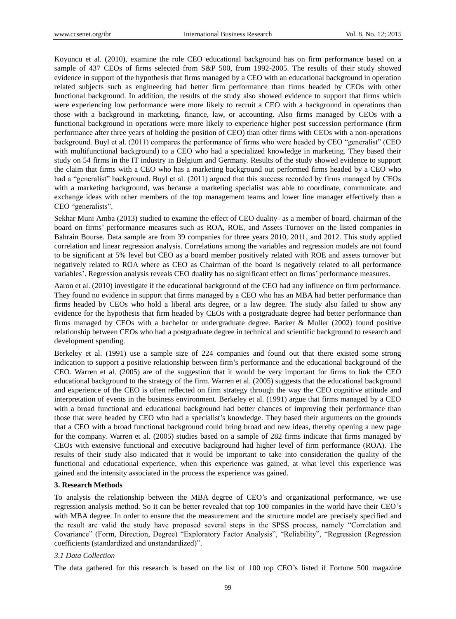Koyuncu et al. (2010), examine the role CEO educational background has on firm performance based on a sample of 437 CEOs of firms selected from S&P 500, from 1992-2005. The results of their study showed evidence in support of the hypothesis that firms managed by a CEO with an educational background in operation related subjects such as engineering had better firm performance than firms headed by CEOs with other functional background. In addition, the results of the study also showed evidence to support that firms which were experiencing low performance were more likely to recruit a CEO with a background in operations than those with a background in marketing, finance, law, or accounting. Also firms managed by CEOs with a functional background in operations were more likely to experience higher post succession performance (firm performance after three years of holding the position of CEO) than other firms with CEOs with a non-operations background. Buyl et al. (2011) compares the performance of firms who were headed by CEO "generalist" (CEO with multifunctional background) to a CEO who had a specialized knowledge in marketing. They based their study on 54 firms in the IT industry in Belgium and Germany. Results of the study showed evidence to support the claim that firms with a CEO who has a marketing background out performed firms headed by a CEO who had a "generalist" background. Buyl et al. (2011) argued that this success recorded by firms managed by CEOs with a marketing background, was because a marketing specialist was able to coordinate, communicate, and exchange ideas with other members of the top management teams and lower line manager effectively than a CEO "generalists".

Sekhar Muni Amba (2013) studied to examine the effect of CEO duality- as a member of board, chairman of the board on firms' performance measures such as ROA, ROE, and Assets Turnover on the listed companies in Bahrain Bourse. Data sample are from 39 companies for three years 2010, 2011, and 2012. This study applied correlation and linear regression analysis. Correlations among the variables and regression models are not found to be significant at 5% level but CEO as a board member positively related with ROE and assets turnover but negatively related to ROA where as CEO as Chairman of the board is negatively related to all performance variables'. Regression analysis reveals CEO duality has no significant effect on firms' performance measures.

Aaron et al. (2010) investigate if the educational background of the CEO had any influence on firm performance. They found no evidence in support that firms managed by a CEO who has an MBA had better performance than firms headed by CEOs who hold a liberal arts degree, or a law degree. The study also failed to show any evidence for the hypothesis that firm headed by CEOs with a postgraduate degree had better performance than firms managed by CEOs with a bachelor or undergraduate degree. Barker & Muller (2002) found positive relationship between CEOs who had a postgraduate degree in technical and scientific background to research and development spending.

Berkeley et al. (1991) use a sample size of 224 companies and found out that there existed some strong indication to support a positive relationship between firm's performance and the educational background of the CEO. Warren et al. (2005) are of the suggestion that it would be very important for firms to link the CEO educational background to the strategy of the firm. Warren et al. (2005) suggests that the educational background and experience of the CEO is often reflected on firm strategy through the way the CEO cognitive attitude and interpretation of events in the business environment. Berkeley et al. (1991) argue that firms managed by a CEO with a broad functional and educational background had better chances of improving their performance than those that were headed by CEO who had a specialist's knowledge. They based their arguments on the grounds that a CEO with a broad functional background could bring broad and new ideas, thereby opening a new page for the company. Warren et al. (2005) studies based on a sample of 282 firms indicate that firms managed by CEOs with extensive functional and executive background had higher level of firm performance (ROA). The results of their study also indicated that it would be important to take into consideration the quality of the functional and educational experience, when this experience was gained, at what level this experience was gained and the intensity associated in the process the experience was gained.

## **3. Research Methods**

To analysis the relationship between the MBA degree of CEO's and organizational performance, we use regression analysis method. So it can be better revealed that top 100 companies in the world have their CEO's with MBA degree. In order to ensure that the measurement and the structure model are precisely specified and the result are valid the study have proposed several steps in the SPSS process, namely "Correlation and Covariance" (Form, Direction, Degree) "Exploratory Factor Analysis", "Reliability", "Regression (Regression coefficients (standardized and unstandardized)".

#### *3.1 Data Collection*

The data gathered for this research is based on the list of 100 top CEO's listed if Fortune 500 magazine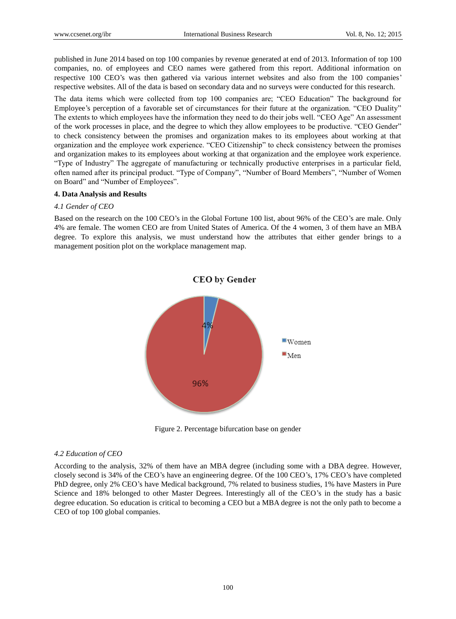published in June 2014 based on top 100 companies by revenue generated at end of 2013. Information of top 100 companies, no. of employees and CEO names were gathered from this report. Additional information on respective 100 CEO's was then gathered via various internet websites and also from the 100 companies' respective websites. All of the data is based on secondary data and no surveys were conducted for this research.

The data items which were collected from top 100 companies are; "CEO Education" The background for Employee's perception of a favorable set of circumstances for their future at the organization. "CEO Duality" The extents to which employees have the information they need to do their jobs well. "CEO Age" An assessment of the work processes in place, and the degree to which they allow employees to be productive. "CEO Gender" to check consistency between the promises and organization makes to its employees about working at that organization and the employee work experience. "CEO Citizenship" to check consistency between the promises and organization makes to its employees about working at that organization and the employee work experience. "Type of Industry" The aggregate of manufacturing or technically productive enterprises in a particular field, often named after its principal product. "Type of Company", "Number of Board Members", "Number of Women on Board" and "Number of Employees".

## **4. Data Analysis and Results**

#### *4.1 Gender of CEO*

Based on the research on the 100 CEO's in the Global Fortune 100 list, about 96% of the CEO's are male. Only 4% are female. The women CEO are from United States of America. Of the 4 women, 3 of them have an MBA degree. To explore this analysis, we must understand how the attributes that either gender brings to a management position plot on the workplace management map.



Figure 2. Percentage bifurcation base on gender

#### *4.2 Education of CEO*

According to the analysis, 32% of them have an MBA degree (including some with a DBA degree. However, closely second is 34% of the CEO's have an engineering degree. Of the 100 CEO's, 17% CEO's have completed PhD degree, only 2% CEO's have Medical background, 7% related to business studies, 1% have Masters in Pure Science and 18% belonged to other Master Degrees. Interestingly all of the CEO's in the study has a basic degree education. So education is critical to becoming a CEO but a MBA degree is not the only path to become a CEO of top 100 global companies.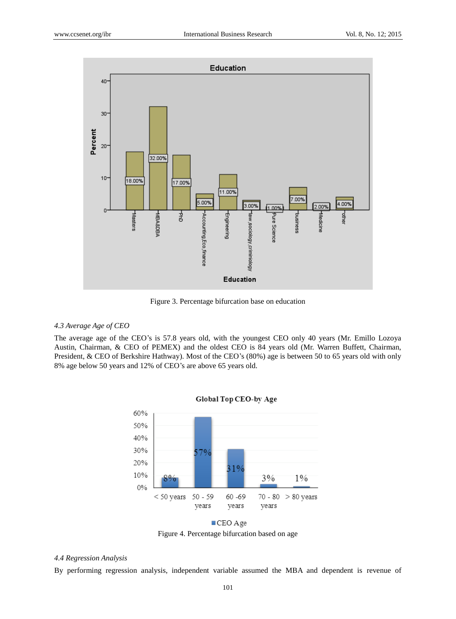

Figure 3. Percentage bifurcation base on education

## *4.3 Average Age of CEO*

The average age of the CEO's is 57.8 years old, with the youngest CEO only 40 years (Mr. Emillo Lozoya Austin, Chairman, & CEO of PEMEX) and the oldest CEO is 84 years old (Mr. Warren Buffett, Chairman, President, & CEO of Berkshire Hathway). Most of the CEO's (80%) age is between 50 to 65 years old with only 8% age below 50 years and 12% of CEO's are above 65 years old.





 $\blacksquare$  CEO Age

Figure 4. Percentage bifurcation based on age

# *4.4 Regression Analysis*

By performing regression analysis, independent variable assumed the MBA and dependent is revenue of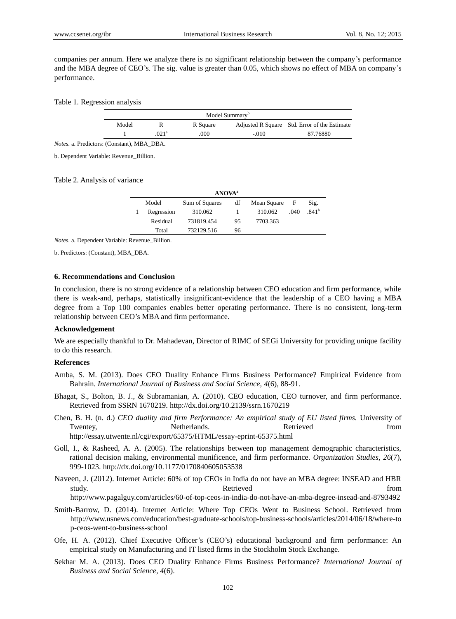companies per annum. Here we analyze there is no significant relationship between the company's performance and the MBA degree of CEO's. The sig. value is greater than 0.05, which shows no effect of MBA on company's performance.

# Table 1. Regression analysis

| Adjusted R Square Std. Error of the Estimate<br>Model<br>R Square<br>87.76880<br>.021 <sup>a</sup><br>.000<br>$-.010$ | Model Summary <sup>b</sup> |  |  |  |  |
|-----------------------------------------------------------------------------------------------------------------------|----------------------------|--|--|--|--|
|                                                                                                                       |                            |  |  |  |  |
|                                                                                                                       |                            |  |  |  |  |

*Notes.* a. Predictors: (Constant), MBA\_DBA.

b. Dependent Variable: Revenue\_Billion.

Table 2. Analysis of variance

| <b>ANOVA</b> <sup>a</sup> |            |                |    |             |      |                   |  |  |  |
|---------------------------|------------|----------------|----|-------------|------|-------------------|--|--|--|
|                           | Model      | Sum of Squares | df | Mean Square | F    | Sig.              |  |  |  |
|                           | Regression | 310.062        |    | 310.062     | .040 | .841 <sup>b</sup> |  |  |  |
|                           | Residual   | 731819.454     | 95 | 7703.363    |      |                   |  |  |  |
|                           | Total      | 732129.516     | 96 |             |      |                   |  |  |  |

*Notes.* a. Dependent Variable: Revenue\_Billion.

b. Predictors: (Constant), MBA\_DBA.

## **6. Recommendations and Conclusion**

In conclusion, there is no strong evidence of a relationship between CEO education and firm performance, while there is weak-and, perhaps, statistically insignificant-evidence that the leadership of a CEO having a MBA degree from a Top 100 companies enables better operating performance. There is no consistent, long-term relationship between CEO's MBA and firm performance.

# **Acknowledgement**

We are especially thankful to Dr. Mahadevan, Director of RIMC of SEGi University for providing unique facility to do this research.

#### **References**

- Amba, S. M. (2013). Does CEO Duality Enhance Firms Business Performance? Empirical Evidence from Bahrain. *International Journal of Business and Social Science, 4*(6), 88-91.
- Bhagat, S., Bolton, B. J., & Subramanian, A. (2010). CEO education, CEO turnover, and firm performance. Retrieved from SSRN 1670219. <http://dx.doi.org/10.2139/ssrn.1670219>
- Chen, B. H. (n. d.) *CEO duality and firm Performance: An empirical study of EU listed firms.* University of Twentey, Netherlands. Retrieved from Retrieved from Retrieved from  $\mathbb{R}$ http://essay.utwente.nl/cgi/export/65375/HTML/essay-eprint-65375.html
- Goll, I., & Rasheed, A. A. (2005). The relationships between top management demographic characteristics, rational decision making, environmental munificence, and firm performance. *Organization Studies, 26*(7), 999-1023. <http://dx.doi.org/10.1177/0170840605053538>
- Naveen, J. (2012). Internet Article: 60% of top CEOs in India do not have an MBA degree: INSEAD and HBR study. The contract of the contract of the contract of the contract of the contract of the contract of the contract of the contract of the contract of the contract of the contract of the contract of the contract of the con http://www.pagalguy.com/articles/60-of-top-ceos-in-india-do-not-have-an-mba-degree-insead-and-8793492
- [Smith-Barrow,](http://www.usnews.com/topics/author/delece-smith-barrow) D. (2014). Internet Article: Where Top CEOs Went to Business School. Retrieved from [http://www.usnews.com/education/best-graduate-schools/top-business-schools/articles/2014/06/18/where-to](http://www.usnews.com/education/best-graduate-schools/top-business-schools/articles/2014/06/18/where-top-ceos-went-to-business-school) [p-ceos-went-to-business-school](http://www.usnews.com/education/best-graduate-schools/top-business-schools/articles/2014/06/18/where-top-ceos-went-to-business-school)
- Ofe, H. A. (2012). Chief Executive Officer's (CEO's) educational background and firm performance: An empirical study on Manufacturing and IT listed firms in the Stockholm Stock Exchange.
- Sekhar M. A. (2013). Does CEO Duality Enhance Firms Business Performance? *International Journal of Business and Social Science, 4*(6).